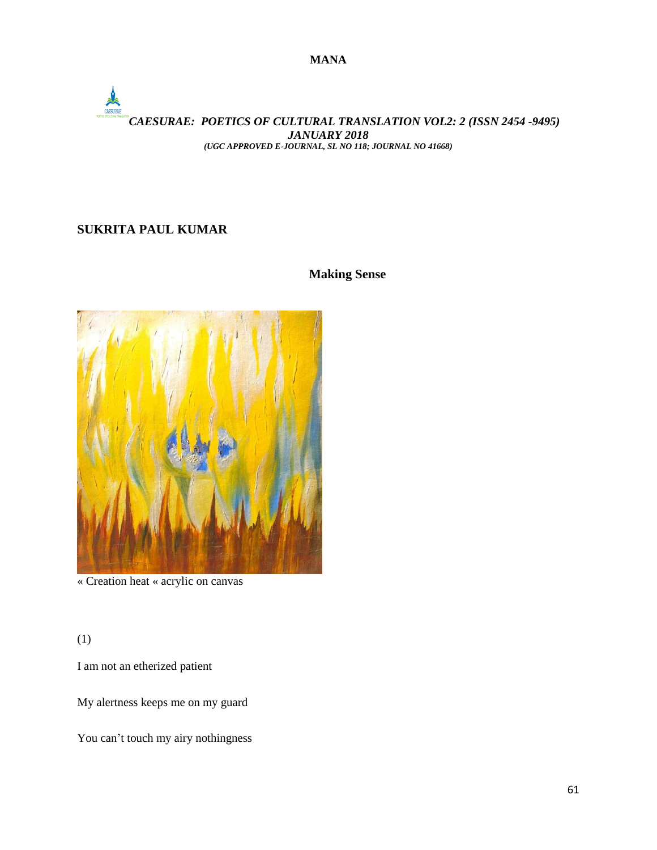**MANA**

# *CAESURAE: POETICS OF CULTURAL TRANSLATION VOL2: 2 (ISSN 2454 -9495) JANUARY 2018 (UGC APPROVED E-JOURNAL, SL NO 118; JOURNAL NO 41668)*

# **SUKRITA PAUL KUMAR**

### **Making Sense**



« Creation heat « acrylic on canvas

(1)

I am not an etherized patient

My alertness keeps me on my guard

You can't touch my airy nothingness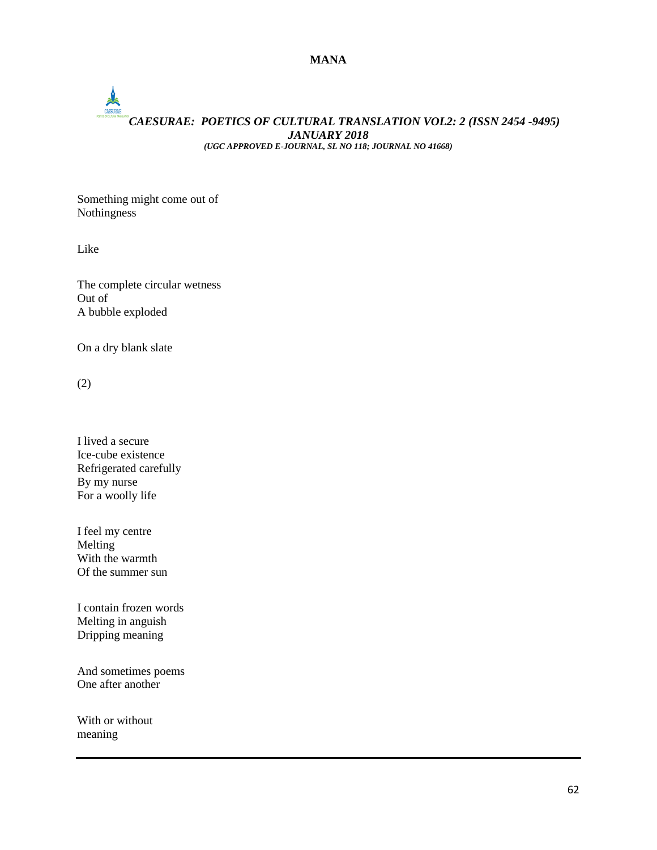### **MANA**

# **PARTIES** *CAESURAE: POETICS OF CULTURAL TRANSLATION VOL2: 2 (ISSN 2454 -9495) JANUARY 2018 (UGC APPROVED E-JOURNAL, SL NO 118; JOURNAL NO 41668)*

Something might come out of Nothingness

Like

The complete circular wetness Out of A bubble exploded

On a dry blank slate

(2)

I lived a secure Ice-cube existence Refrigerated carefully By my nurse For a woolly life

I feel my centre Melting With the warmth Of the summer sun

I contain frozen words Melting in anguish Dripping meaning

And sometimes poems One after another

With or without meaning